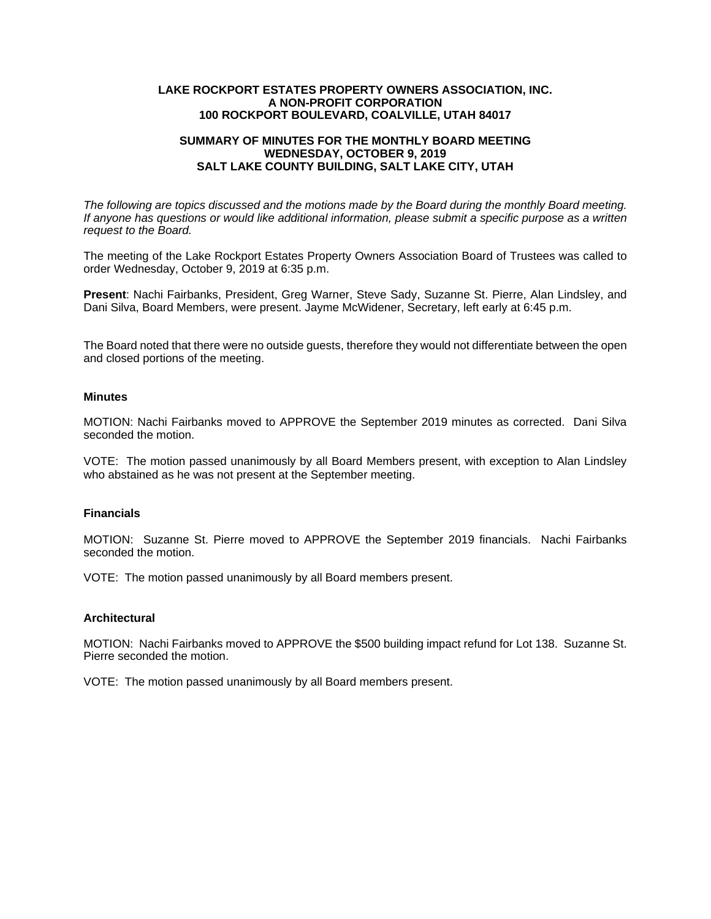### **LAKE ROCKPORT ESTATES PROPERTY OWNERS ASSOCIATION, INC. A NON-PROFIT CORPORATION 100 ROCKPORT BOULEVARD, COALVILLE, UTAH 84017**

# **SUMMARY OF MINUTES FOR THE MONTHLY BOARD MEETING WEDNESDAY, OCTOBER 9, 2019 SALT LAKE COUNTY BUILDING, SALT LAKE CITY, UTAH**

*The following are topics discussed and the motions made by the Board during the monthly Board meeting. If anyone has questions or would like additional information, please submit a specific purpose as a written request to the Board.* 

The meeting of the Lake Rockport Estates Property Owners Association Board of Trustees was called to order Wednesday, October 9, 2019 at 6:35 p.m.

**Present**: Nachi Fairbanks, President, Greg Warner, Steve Sady, Suzanne St. Pierre, Alan Lindsley, and Dani Silva, Board Members, were present. Jayme McWidener, Secretary, left early at 6:45 p.m.

The Board noted that there were no outside guests, therefore they would not differentiate between the open and closed portions of the meeting.

## **Minutes**

MOTION: Nachi Fairbanks moved to APPROVE the September 2019 minutes as corrected. Dani Silva seconded the motion.

VOTE: The motion passed unanimously by all Board Members present, with exception to Alan Lindsley who abstained as he was not present at the September meeting.

### **Financials**

MOTION: Suzanne St. Pierre moved to APPROVE the September 2019 financials. Nachi Fairbanks seconded the motion.

VOTE: The motion passed unanimously by all Board members present.

### **Architectural**

MOTION: Nachi Fairbanks moved to APPROVE the \$500 building impact refund for Lot 138. Suzanne St. Pierre seconded the motion.

VOTE: The motion passed unanimously by all Board members present.